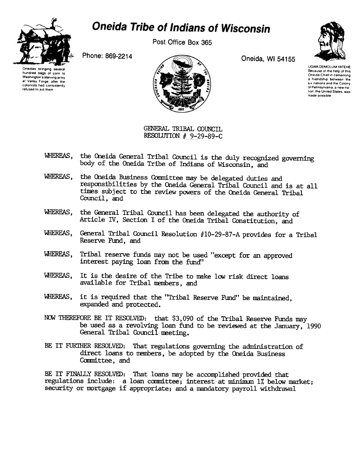

## **Oneida Tribe of Indians of Wisconsin**

Post Office Box 365

Oneidas bringing several hundred bags of corn 10 Washington's starving army at Valley Forge, after the colonists had consistently refused to aid them





UGWA DEMOLUM YATEHE Because of the help of this Oneida Chief in cementing a friendship between the SIX nations and the Colony of Pennsylvania a new nalion the United States was made possible

GENERAL TRIBAL COUNCIL RESOLUTION # 9-29-89-C

- WHEREAS, the Oneida General Tribal Council is the duly recognized governing body of the Oneida Tribe of Indians of Wisconsin, and
- WHEREAS, the Oneida Business Committee may be delegated duties and responsibilities by the Oneida General Tribal Council and is at all tines subject to the review powers of the Oneida General Tribal Council, and
- WHERFAS, the General Tribal Council has been delegated the authority of Article IV, Section I of the Oneida Tribal Constitution, and
- WHEREAS, General Tribal Council Resolution #10-29-87-A provides for a Tribal Reserve Fund, and
- WHEREAS, Tribal reserve funds may not be used "except for an approved interest paying loan from the fund"
- WHEREAS, It is the desire of the Tribe to make low risk direct loans available for Tribal nembers, and
- WHEREAS, it is required that the "Tribal Reserve Fund" be maintained, expanded and protected.
- NOW THEREFORE BE IT RESOLVED: that \$3,090 of the Tribal Reserve Funds may be used as a revolving loan fund to be reviewed at the January, 1990 General Tribal Council neeting.
- BE IT FURTHER RESOLVED: That regulations governing the administration of direct loans to members, be adopted by the Oneida Business Committee, and

BE IT FINAILY RESOLVED: That loans may be accomplished provided that regulations include: a loan committee; interest at minimum 1% below market; security or mortgage if appropriate; and a mandatory payroll withdrawal